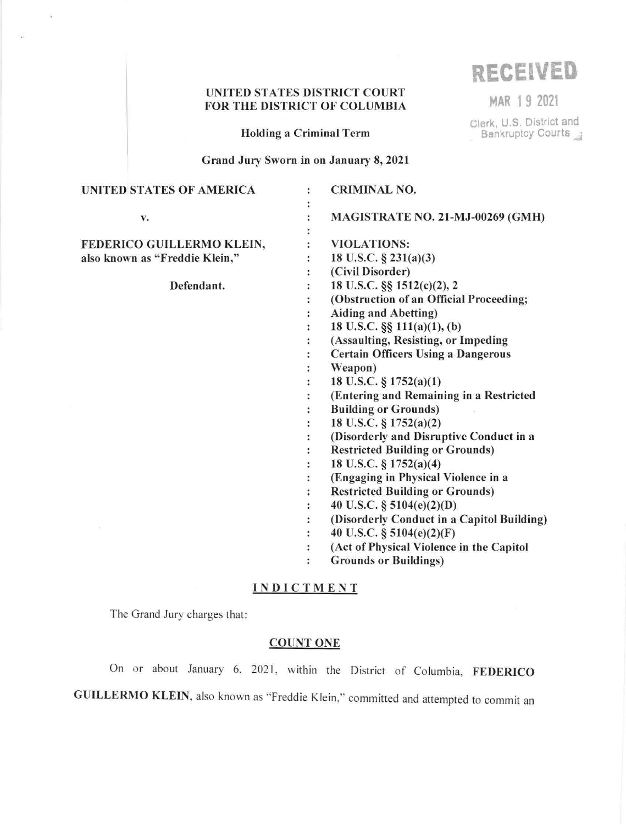## UNITED STATES DISTRICT COURT FOR THE DISTRICT OF COLUMBIA **MAR 1 9** <sup>2021</sup>

**RECEIVED** 

Clerk, U.S. District and<br>Bankruptcy Courts

Holding a Criminal Term

Grand Jury Sworn in on January 8, 2021

| UNITED STATES OF AMERICA       | <b>CRIMINAL NO.</b>                        |
|--------------------------------|--------------------------------------------|
|                                |                                            |
| v.                             | MAGISTRATE NO. 21-MJ-00269 (GMH)           |
|                                |                                            |
| FEDERICO GUILLERMO KLEIN,      | <b>VIOLATIONS:</b>                         |
| also known as "Freddie Klein," | 18 U.S.C. $\S$ 231(a)(3)                   |
|                                | (Civil Disorder)                           |
| Defendant.                     | 18 U.S.C. §§ 1512(c)(2), 2                 |
|                                | (Obstruction of an Official Proceeding;    |
|                                | <b>Aiding and Abetting)</b>                |
|                                | 18 U.S.C. §§ 111(a)(1), (b)                |
|                                | (Assaulting, Resisting, or Impeding        |
|                                | <b>Certain Officers Using a Dangerous</b>  |
|                                | Weapon)                                    |
|                                | 18 U.S.C. § 1752(a)(1)                     |
|                                | (Entering and Remaining in a Restricted    |
|                                | <b>Building or Grounds)</b>                |
|                                | 18 U.S.C. § 1752(a)(2)                     |
|                                | (Disorderly and Disruptive Conduct in a    |
|                                | <b>Restricted Building or Grounds)</b>     |
|                                | 18 U.S.C. § 1752(a)(4)                     |
|                                | (Engaging in Physical Violence in a        |
|                                | <b>Restricted Building or Grounds)</b>     |
|                                | 40 U.S.C. § $5104(e)(2)(D)$                |
|                                | (Disorderly Conduct in a Capitol Building) |
|                                | 40 U.S.C. § 5104(e)(2)(F)                  |
|                                | (Act of Physical Violence in the Capitol   |
|                                | <b>Grounds or Buildings)</b>               |
|                                |                                            |

# **INDICTMENT**

The Grand Jury charges that:

 $\hat{k}$ 

# COUNT ONE

On or about January 6, 2021, within the District of Columbia, FEDERICO GUILLERMO KLEIN, also known as "Freddie Klein," committed and attempted to commit an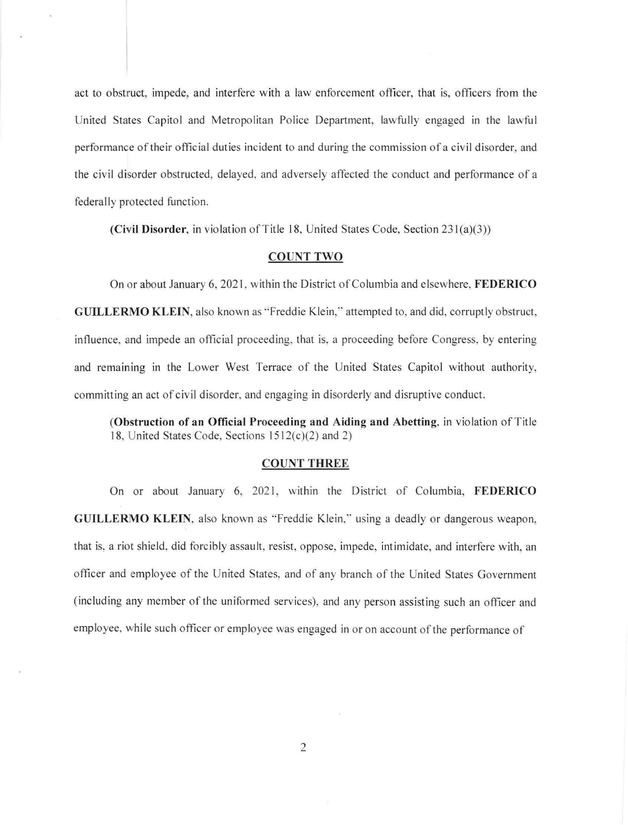act to obstruct, impede, and interfere with a law enforcement officer, that is, officers from the United States Capitol and Metropolitan Police Department, lawfully engaged in the lawful performance of their official duties incident to and during the commission ofa civil disorder, and the civil disorder obstructed, delayed, and adversely affected the conduct and performance of a federally protected function.

**(Civil Disorder,** in violation of Title 18, United States Code, Section 231(a)(3))

#### **COUNT TWO**

On or about January 6, 2021 , within the District of Columbia and elsewhere, **FEDERICO GUILLERMO KLEIN, also known as "Freddie Klein," attempted to, and did, corruptly obstruct,** influence. and impede an official proceeding, that is, a proceeding before Congress, by entering and remaining in the Lower West Terrace of the United States Capitol without authority, committing an act of civil disorder, and engaging in disorderly and disruptive conduct.

**(Obstruction of an Official Proceeding and Aiding and Abetting,** in violation of Title 18, United States Code, Sections  $1512(c)(2)$  and 2)

#### **COUNT THREE**

On or about January 6, 2021, within the District of Columbia, FEDERICO **GUILLERMO KLEIN,** also known as "Freddie Klein," using a deadly or dangerous weapon, that is, a riot shield, did forcibly assault, resist, oppose, impede, intimidate, and interfere with, an officer and employee of the United States, and of any branch of the United States Government (including any member of the uniformed services), and any person assisting such an officer and employee, while such officer or employee was engaged in or on account of the performance of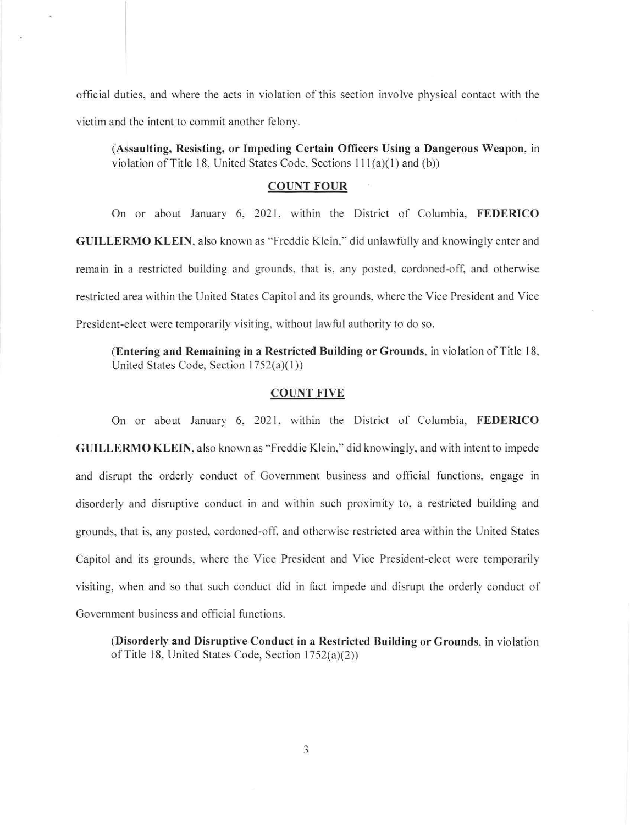offic ial duties, and where the acts in violation of this section involve physical contact with the victim and the intent to commit another felony.

**(Assaulting, Resisting, or Impeding Certain Officers Using a Dangerous Weapon,** in violation of Title 18, United States Code, Sections  $111(a)(1)$  and (b))

#### **COUNT FOUR**

On or about January 6, 2021, within the District of Columbia, FEDERICO **GUILLERMO KLEIN, also known as "Freddie Klein," did unlawfully and knowingly enter and** remain in a restricted building and grounds. that is. any posted, cordoned-off, and otherwise restricted area within the United States Capitol and its grounds, where the Vice President and Vice President-elect were temporarily visiting, without lawful authority to do so.

**(Entering and Remaining in a Restricted Building or Grounds, in violation of Title 18,** United States Code, Section  $1752(a)(1)$ )

#### **COUNT FIVE**

On or about January 6, 2021, within the District of Columbia, **FEDERICO GUILLERMO KLEIN, also known as "Freddie Klein," did knowingly, and with intent to impede** and disrupt the orderly conduct of Government business and official functions, engage in disorderly and disruptive conduct in and within such proximity to, a restricted building and grounds, that is, any posted, cordoned-off. and otherwise restricted area within the United States Capitol and its grounds, where the Vice President and Vice President-elect were temporarily visiting, when and so that such conduct did in fact impede and disrupt the orderly conduct of Government business and official functions.

**(Disorderly and Disruptive Conduct in a Restricted Building or Grounds,** in violation of Title 18, United States Code, Section 1752(a)(2))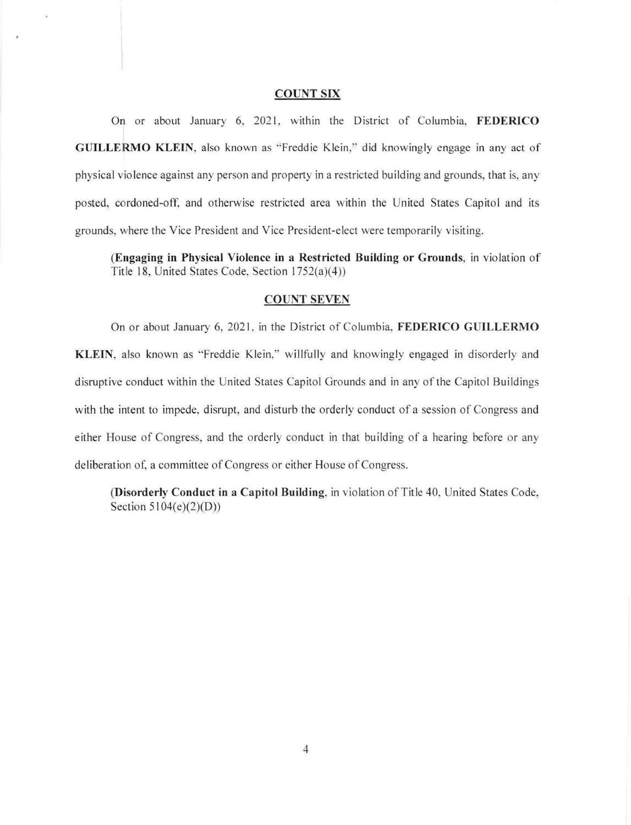#### **COUNT SIX**

On or about January 6, 2021, within the District of Columbia, FEDERICO **GUILLERMO KLEIN, also known as "Freddie Klein," did knowingly engage in any act of** physical violence against any person and property in a restricted building and grounds, that is, any posted, cordoned-off, and otherwise restricted area within the United States Capitol and its grounds, where the Vice President and Vice President-elect were temporarily visiting.

**(Engaging in Physical Violence in a Restricted Building or Grounds,** in violation of Title 18, United States Code, Section 1752(a)(4))

### **COUNT SEVEN**

On or about January 6, 2021 , in the District of Columbia, **FEDERICO GUILLERMO KLEIN,** also known as "Freddie Klein," willfully and knowingly engaged in disorderly and disruptive conduct within the United States Capitol Grounds and in any of the Capitol Buildings with the intent to impede, disrupt, and disturb the orderly conduct of a session of Congress and either House of Congress, and the orderly conduct in that building of a hearing before or any deliberation of, a committee of Congress or either House of Congress.

**(Disorderly Conduct in a Capitol Building,** in violation of Title 40, United States Code, Section 5104(e)(2)(D))